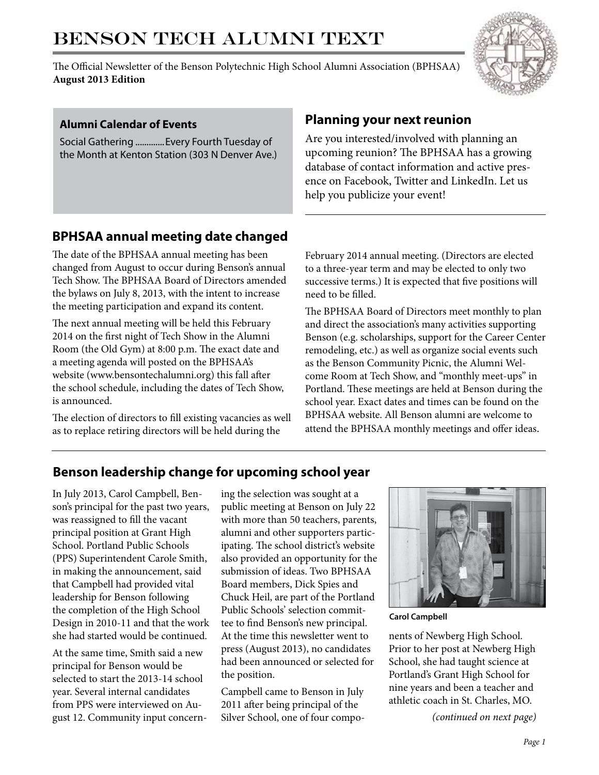# BENSON TECH ALUMNI TEXT

The Official Newsletter of the Benson Polytechnic High School Alumni Association (BPHSAA) **August 2013 Edition**



#### **Alumni Calendar of Events**

Social Gathering .............Every Fourth Tuesday of the Month at Kenton Station (303 N Denver Ave.)

## **Planning your next reunion**

Are you interested/involved with planning an upcoming reunion? The BPHSAA has a growing database of contact information and active presence on Facebook, Twitter and LinkedIn. Let us help you publicize your event!

# **BPHSAA annual meeting date changed**

The date of the BPHSAA annual meeting has been changed from August to occur during Benson's annual Tech Show. The BPHSAA Board of Directors amended the bylaws on July 8, 2013, with the intent to increase the meeting participation and expand its content.

The next annual meeting will be held this February 2014 on the first night of Tech Show in the Alumni Room (the Old Gym) at 8:00 p.m. The exact date and a meeting agenda will posted on the BPHSAA's website (www.bensontechalumni.org) this fall after the school schedule, including the dates of Tech Show, is announced.

The election of directors to fill existing vacancies as well as to replace retiring directors will be held during the

February 2014 annual meeting. (Directors are elected to a three-year term and may be elected to only two successive terms.) It is expected that five positions will need to be filled.

The BPHSAA Board of Directors meet monthly to plan and direct the association's many activities supporting Benson (e.g. scholarships, support for the Career Center remodeling, etc.) as well as organize social events such as the Benson Community Picnic, the Alumni Welcome Room at Tech Show, and "monthly meet-ups" in Portland. These meetings are held at Benson during the school year. Exact dates and times can be found on the BPHSAA website. All Benson alumni are welcome to attend the BPHSAA monthly meetings and offer ideas.

## **Benson leadership change for upcoming school year**

In July 2013, Carol Campbell, Benson's principal for the past two years, was reassigned to fill the vacant principal position at Grant High School. Portland Public Schools (PPS) Superintendent Carole Smith, in making the announcement, said that Campbell had provided vital leadership for Benson following the completion of the High School Design in 2010-11 and that the work she had started would be continued.

At the same time, Smith said a new principal for Benson would be selected to start the 2013-14 school year. Several internal candidates from PPS were interviewed on August 12. Community input concern- *(continued on next page)*

ing the selection was sought at a public meeting at Benson on July 22 with more than 50 teachers, parents, alumni and other supporters participating. The school district's website also provided an opportunity for the submission of ideas. Two BPHSAA Board members, Dick Spies and Chuck Heil, are part of the Portland Public Schools' selection committee to find Benson's new principal. At the time this newsletter went to press (August 2013), no candidates had been announced or selected for the position.

Campbell came to Benson in July 2011 after being principal of the Silver School, one of four compo-



**Carol Campbell**

nents of Newberg High School. Prior to her post at Newberg High School, she had taught science at Portland's Grant High School for nine years and been a teacher and athletic coach in St. Charles, MO.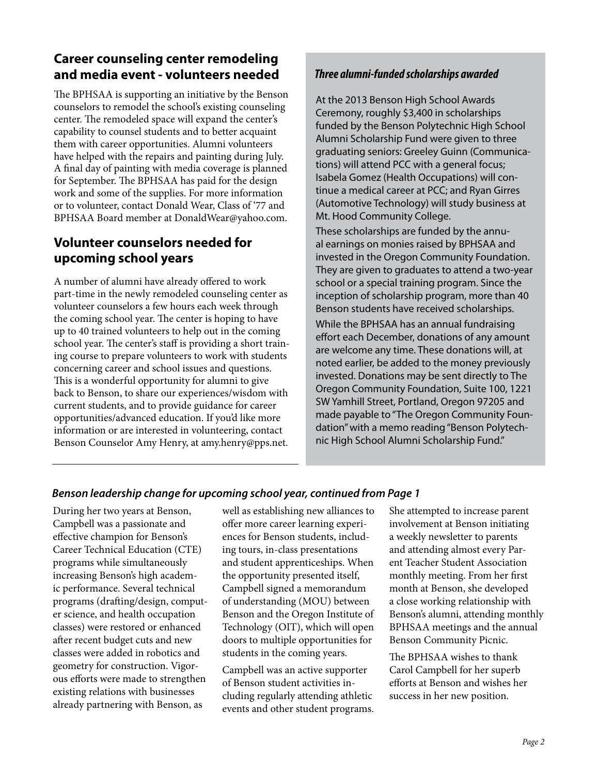## **Career counseling center remodeling and media event - volunteers needed**

The BPHSAA is supporting an initiative by the Benson counselors to remodel the school's existing counseling center. The remodeled space will expand the center's capability to counsel students and to better acquaint them with career opportunities. Alumni volunteers have helped with the repairs and painting during July. A final day of painting with media coverage is planned for September. The BPHSAA has paid for the design work and some of the supplies. For more information or to volunteer, contact Donald Wear, Class of '77 and BPHSAA Board member at DonaldWear@yahoo.com.

## **Volunteer counselors needed for upcoming school years**

A number of alumni have already offered to work part-time in the newly remodeled counseling center as volunteer counselors a few hours each week through the coming school year. The center is hoping to have up to 40 trained volunteers to help out in the coming school year. The center's staff is providing a short training course to prepare volunteers to work with students concerning career and school issues and questions. This is a wonderful opportunity for alumni to give back to Benson, to share our experiences/wisdom with current students, and to provide guidance for career opportunities/advanced education. If you'd like more information or are interested in volunteering, contact Benson Counselor Amy Henry, at amy.henry@pps.net.

## *Three alumni-funded scholarships awarded*

At the 2013 Benson High School Awards Ceremony, roughly \$3,400 in scholarships funded by the Benson Polytechnic High School Alumni Scholarship Fund were given to three graduating seniors: Greeley Guinn (Communications) will attend PCC with a general focus; Isabela Gomez (Health Occupations) will continue a medical career at PCC; and Ryan Girres (Automotive Technology) will study business at Mt. Hood Community College.

These scholarships are funded by the annual earnings on monies raised by BPHSAA and invested in the Oregon Community Foundation. They are given to graduates to attend a two-year school or a special training program. Since the inception of scholarship program, more than 40 Benson students have received scholarships. While the BPHSAA has an annual fundraising effort each December, donations of any amount are welcome any time. These donations will, at noted earlier, be added to the money previously invested. Donations may be sent directly to The Oregon Community Foundation, Suite 100, 1221 SW Yamhill Street, Portland, Oregon 97205 and made payable to "The Oregon Community Foundation" with a memo reading "Benson Polytechnic High School Alumni Scholarship Fund."

### *Benson leadership change for upcoming school year, continued from Page 1*

During her two years at Benson, Campbell was a passionate and effective champion for Benson's Career Technical Education (CTE) programs while simultaneously increasing Benson's high academic performance. Several technical programs (drafting/design, computer science, and health occupation classes) were restored or enhanced after recent budget cuts and new classes were added in robotics and geometry for construction. Vigorous efforts were made to strengthen existing relations with businesses already partnering with Benson, as

well as establishing new alliances to offer more career learning experiences for Benson students, including tours, in-class presentations and student apprenticeships. When the opportunity presented itself, Campbell signed a memorandum of understanding (MOU) between Benson and the Oregon Institute of Technology (OIT), which will open doors to multiple opportunities for students in the coming years.

Campbell was an active supporter of Benson student activities including regularly attending athletic events and other student programs. She attempted to increase parent involvement at Benson initiating a weekly newsletter to parents and attending almost every Parent Teacher Student Association monthly meeting. From her first month at Benson, she developed a close working relationship with Benson's alumni, attending monthly BPHSAA meetings and the annual Benson Community Picnic.

The BPHSAA wishes to thank Carol Campbell for her superb efforts at Benson and wishes her success in her new position.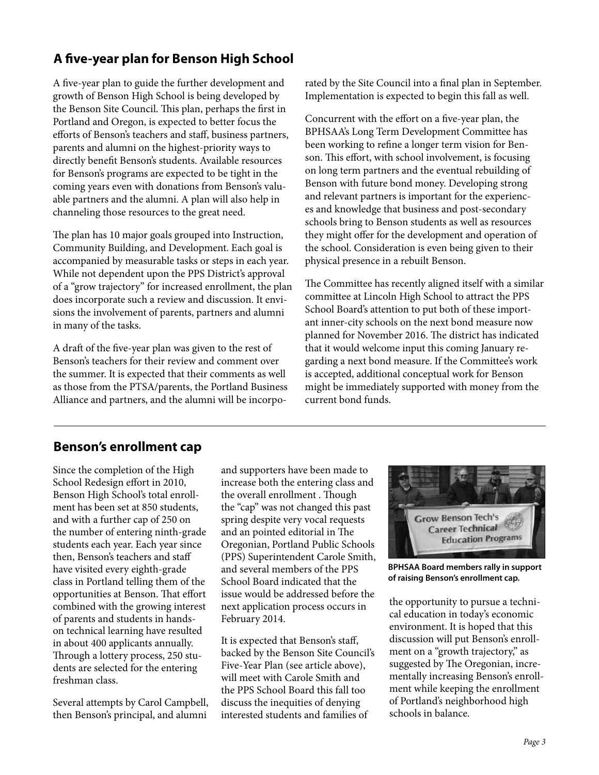# **A five-year plan for Benson High School**

A five-year plan to guide the further development and growth of Benson High School is being developed by the Benson Site Council. This plan, perhaps the first in Portland and Oregon, is expected to better focus the efforts of Benson's teachers and staff, business partners, parents and alumni on the highest-priority ways to directly benefit Benson's students. Available resources for Benson's programs are expected to be tight in the coming years even with donations from Benson's valuable partners and the alumni. A plan will also help in channeling those resources to the great need.

The plan has 10 major goals grouped into Instruction, Community Building, and Development. Each goal is accompanied by measurable tasks or steps in each year. While not dependent upon the PPS District's approval of a "grow trajectory" for increased enrollment, the plan does incorporate such a review and discussion. It envisions the involvement of parents, partners and alumni in many of the tasks.

A draft of the five-year plan was given to the rest of Benson's teachers for their review and comment over the summer. It is expected that their comments as well as those from the PTSA/parents, the Portland Business Alliance and partners, and the alumni will be incorporated by the Site Council into a final plan in September. Implementation is expected to begin this fall as well.

Concurrent with the effort on a five-year plan, the BPHSAA's Long Term Development Committee has been working to refine a longer term vision for Benson. This effort, with school involvement, is focusing on long term partners and the eventual rebuilding of Benson with future bond money. Developing strong and relevant partners is important for the experiences and knowledge that business and post-secondary schools bring to Benson students as well as resources they might offer for the development and operation of the school. Consideration is even being given to their physical presence in a rebuilt Benson.

The Committee has recently aligned itself with a similar committee at Lincoln High School to attract the PPS School Board's attention to put both of these important inner-city schools on the next bond measure now planned for November 2016. The district has indicated that it would welcome input this coming January regarding a next bond measure. If the Committee's work is accepted, additional conceptual work for Benson might be immediately supported with money from the current bond funds.

## **Benson's enrollment cap**

Since the completion of the High School Redesign effort in 2010, Benson High School's total enrollment has been set at 850 students, and with a further cap of 250 on the number of entering ninth-grade students each year. Each year since then, Benson's teachers and staff have visited every eighth-grade class in Portland telling them of the opportunities at Benson. That effort combined with the growing interest of parents and students in handson technical learning have resulted in about 400 applicants annually. Through a lottery process, 250 students are selected for the entering freshman class.

Several attempts by Carol Campbell, then Benson's principal, and alumni

and supporters have been made to increase both the entering class and the overall enrollment . Though the "cap" was not changed this past spring despite very vocal requests and an pointed editorial in The Oregonian, Portland Public Schools (PPS) Superintendent Carole Smith, and several members of the PPS School Board indicated that the issue would be addressed before the next application process occurs in February 2014.

It is expected that Benson's staff, backed by the Benson Site Council's Five-Year Plan (see article above), will meet with Carole Smith and the PPS School Board this fall too discuss the inequities of denying interested students and families of



**BPHSAA Board members rally in support of raising Benson's enrollment cap.**

the opportunity to pursue a technical education in today's economic environment. It is hoped that this discussion will put Benson's enrollment on a "growth trajectory," as suggested by The Oregonian, incrementally increasing Benson's enrollment while keeping the enrollment of Portland's neighborhood high schools in balance.